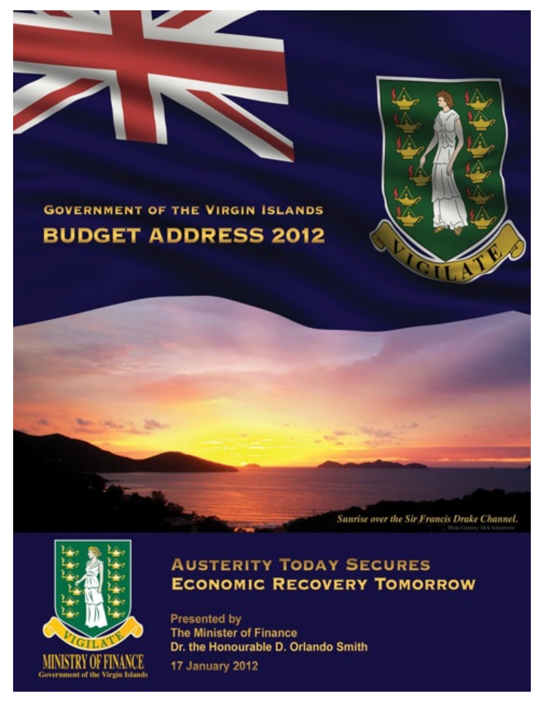



Sunrise over the Sir Francis Drake Channel.

# **GOVERNMENT OF THE VIRGIN ISLANDS BUDGET ADDRESS 2012**



## **AUSTERITY TODAY SECURES ECONOMIC RECOVERY TOMORROW**

Presented by **The Minister of Finance** Dr. the Honourable D. Orlando Smith

17 January 2012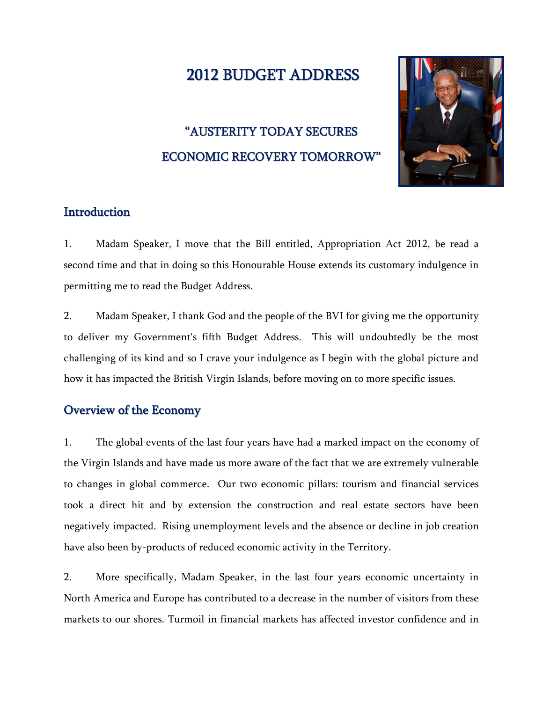## 2012 BUDGET ADDRESS

## "AUSTERITY TODAY SECURES ECONOMIC RECOVERY TOMORROW"



## **Introduction**

1. Madam Speaker, I move that the Bill entitled, Appropriation Act 2012, be read a second time and that in doing so this Honourable House extends its customary indulgence in permitting me to read the Budget Address.

2. Madam Speaker, I thank God and the people of the BVI for giving me the opportunity to deliver my Government's fifth Budget Address. This will undoubtedly be the most challenging of its kind and so I crave your indulgence as I begin with the global picture and how it has impacted the British Virgin Islands, before moving on to more specific issues.

## Overview of the Economy

1. The global events of the last four years have had a marked impact on the economy of the Virgin Islands and have made us more aware of the fact that we are extremely vulnerable to changes in global commerce. Our two economic pillars: tourism and financial services took a direct hit and by extension the construction and real estate sectors have been negatively impacted. Rising unemployment levels and the absence or decline in job creation have also been by-products of reduced economic activity in the Territory.

2. More specifically, Madam Speaker, in the last four years economic uncertainty in North America and Europe has contributed to a decrease in the number of visitors from these markets to our shores. Turmoil in financial markets has affected investor confidence and in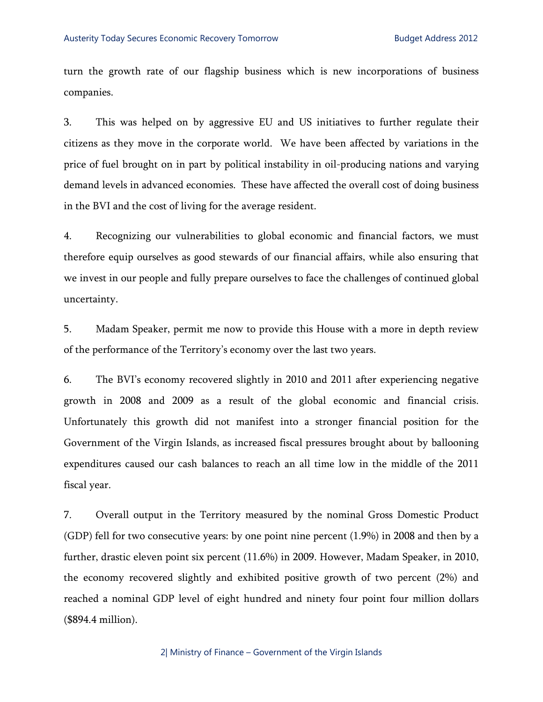turn the growth rate of our flagship business which is new incorporations of business companies.

3. This was helped on by aggressive EU and US initiatives to further regulate their citizens as they move in the corporate world. We have been affected by variations in the price of fuel brought on in part by political instability in oil-producing nations and varying demand levels in advanced economies. These have affected the overall cost of doing business in the BVI and the cost of living for the average resident.

4. Recognizing our vulnerabilities to global economic and financial factors, we must therefore equip ourselves as good stewards of our financial affairs, while also ensuring that we invest in our people and fully prepare ourselves to face the challenges of continued global uncertainty.

5. Madam Speaker, permit me now to provide this House with a more in depth review of the performance of the Territory's economy over the last two years.

6. The BVI's economy recovered slightly in 2010 and 2011 after experiencing negative growth in 2008 and 2009 as a result of the global economic and financial crisis. Unfortunately this growth did not manifest into a stronger financial position for the Government of the Virgin Islands, as increased fiscal pressures brought about by ballooning expenditures caused our cash balances to reach an all time low in the middle of the 2011 fiscal year.

7. Overall output in the Territory measured by the nominal Gross Domestic Product (GDP) fell for two consecutive years: by one point nine percent (1.9%) in 2008 and then by a further, drastic eleven point six percent (11.6%) in 2009. However, Madam Speaker, in 2010, the economy recovered slightly and exhibited positive growth of two percent (2%) and reached a nominal GDP level of eight hundred and ninety four point four million dollars (\$894.4 million).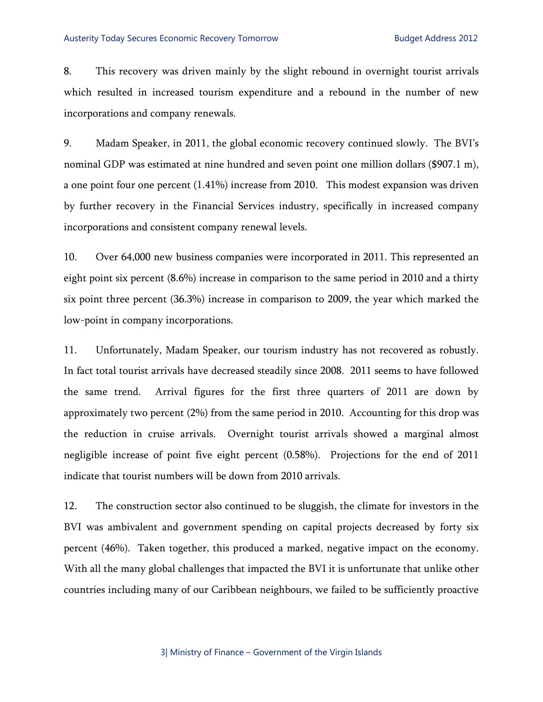8. This recovery was driven mainly by the slight rebound in overnight tourist arrivals which resulted in increased tourism expenditure and a rebound in the number of new incorporations and company renewals.

9. Madam Speaker, in 2011, the global economic recovery continued slowly. The BVI's nominal GDP was estimated at nine hundred and seven point one million dollars (\$907.1 m), a one point four one percent (1.41%) increase from 2010. This modest expansion was driven by further recovery in the Financial Services industry, specifically in increased company incorporations and consistent company renewal levels.

10. Over 64,000 new business companies were incorporated in 2011. This represented an eight point six percent (8.6%) increase in comparison to the same period in 2010 and a thirty six point three percent (36.3%) increase in comparison to 2009, the year which marked the low-point in company incorporations.

11. Unfortunately, Madam Speaker, our tourism industry has not recovered as robustly. In fact total tourist arrivals have decreased steadily since 2008. 2011 seems to have followed the same trend. Arrival figures for the first three quarters of 2011 are down by approximately two percent (2%) from the same period in 2010. Accounting for this drop was the reduction in cruise arrivals. Overnight tourist arrivals showed a marginal almost negligible increase of point five eight percent (0.58%). Projections for the end of 2011 indicate that tourist numbers will be down from 2010 arrivals.

12. The construction sector also continued to be sluggish, the climate for investors in the BVI was ambivalent and government spending on capital projects decreased by forty six percent (46%). Taken together, this produced a marked, negative impact on the economy. With all the many global challenges that impacted the BVI it is unfortunate that unlike other countries including many of our Caribbean neighbours, we failed to be sufficiently proactive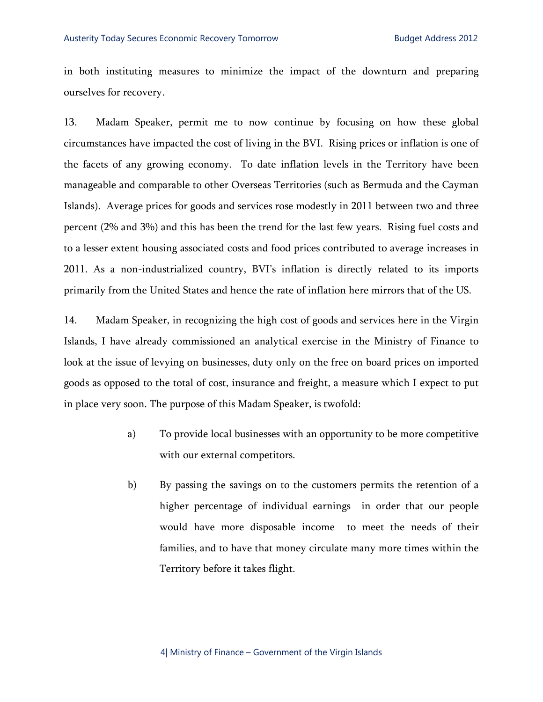in both instituting measures to minimize the impact of the downturn and preparing ourselves for recovery.

13. Madam Speaker, permit me to now continue by focusing on how these global circumstances have impacted the cost of living in the BVI. Rising prices or inflation is one of the facets of any growing economy. To date inflation levels in the Territory have been manageable and comparable to other Overseas Territories (such as Bermuda and the Cayman Islands). Average prices for goods and services rose modestly in 2011 between two and three percent (2% and 3%) and this has been the trend for the last few years. Rising fuel costs and to a lesser extent housing associated costs and food prices contributed to average increases in 2011. As a non-industrialized country, BVI's inflation is directly related to its imports primarily from the United States and hence the rate of inflation here mirrors that of the US.

14. Madam Speaker, in recognizing the high cost of goods and services here in the Virgin Islands, I have already commissioned an analytical exercise in the Ministry of Finance to look at the issue of levying on businesses, duty only on the free on board prices on imported goods as opposed to the total of cost, insurance and freight, a measure which I expect to put in place very soon. The purpose of this Madam Speaker, is twofold:

- a) To provide local businesses with an opportunity to be more competitive with our external competitors.
- b) By passing the savings on to the customers permits the retention of a higher percentage of individual earnings in order that our people would have more disposable income to meet the needs of their families, and to have that money circulate many more times within the Territory before it takes flight.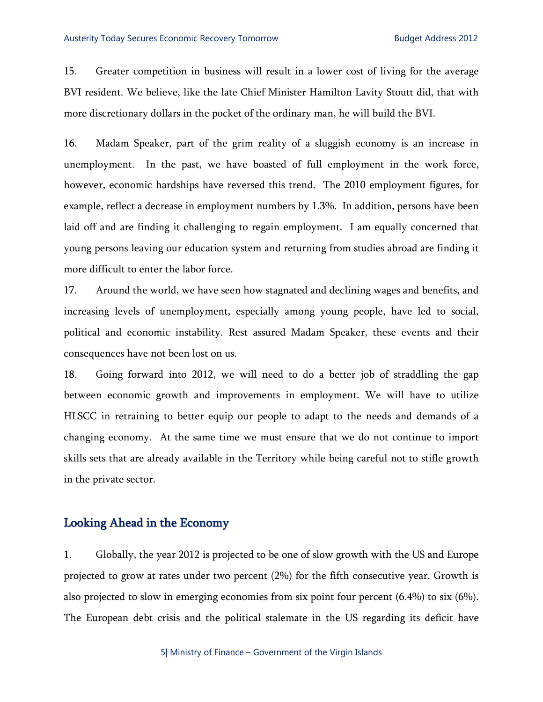15. Greater competition in business will result in a lower cost of living for the average BVI resident. We believe, like the late Chief Minister Hamilton Lavity Stoutt did, that with more discretionary dollars in the pocket of the ordinary man, he will build the BVI.

16. Madam Speaker, part of the grim reality of a sluggish economy is an increase in unemployment. In the past, we have boasted of full employment in the work force, however, economic hardships have reversed this trend. The 2010 employment figures, for example, reflect a decrease in employment numbers by 1.3%. In addition, persons have been laid off and are finding it challenging to regain employment. I am equally concerned that young persons leaving our education system and returning from studies abroad are finding it more difficult to enter the labor force.

17. Around the world, we have seen how stagnated and declining wages and benefits, and increasing levels of unemployment, especially among young people, have led to social, political and economic instability. Rest assured Madam Speaker, these events and their consequences have not been lost on us.

18. Going forward into 2012, we will need to do a better job of straddling the gap between economic growth and improvements in employment. We will have to utilize HLSCC in retraining to better equip our people to adapt to the needs and demands of a changing economy. At the same time we must ensure that we do not continue to import skills sets that are already available in the Territory while being careful not to stifle growth in the private sector.

## Looking Ahead in the Economy

1. Globally, the year 2012 is projected to be one of slow growth with the US and Europe projected to grow at rates under two percent (2%) for the fifth consecutive year. Growth is also projected to slow in emerging economies from six point four percent (6.4%) to six (6%). The European debt crisis and the political stalemate in the US regarding its deficit have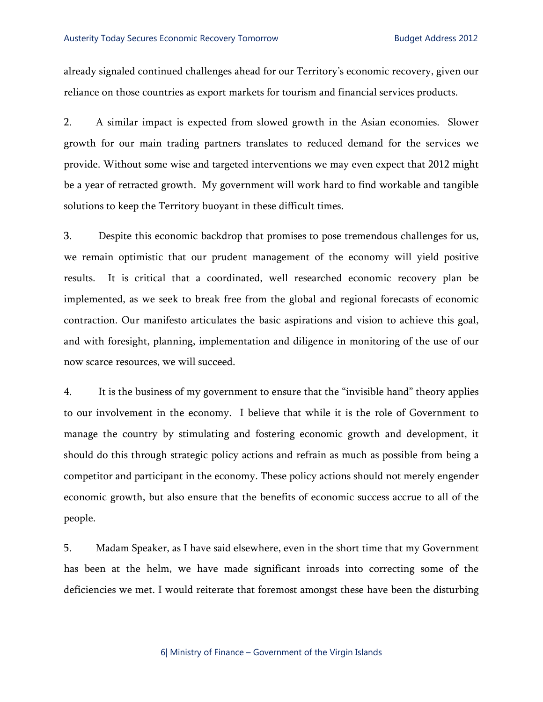already signaled continued challenges ahead for our Territory's economic recovery, given our reliance on those countries as export markets for tourism and financial services products.

2. A similar impact is expected from slowed growth in the Asian economies. Slower growth for our main trading partners translates to reduced demand for the services we provide. Without some wise and targeted interventions we may even expect that 2012 might be a year of retracted growth. My government will work hard to find workable and tangible solutions to keep the Territory buoyant in these difficult times.

3. Despite this economic backdrop that promises to pose tremendous challenges for us, we remain optimistic that our prudent management of the economy will yield positive results. It is critical that a coordinated, well researched economic recovery plan be implemented, as we seek to break free from the global and regional forecasts of economic contraction. Our manifesto articulates the basic aspirations and vision to achieve this goal, and with foresight, planning, implementation and diligence in monitoring of the use of our now scarce resources, we will succeed.

4. It is the business of my government to ensure that the "invisible hand" theory applies to our involvement in the economy. I believe that while it is the role of Government to manage the country by stimulating and fostering economic growth and development, it should do this through strategic policy actions and refrain as much as possible from being a competitor and participant in the economy. These policy actions should not merely engender economic growth, but also ensure that the benefits of economic success accrue to all of the people.

5. Madam Speaker, as I have said elsewhere, even in the short time that my Government has been at the helm, we have made significant inroads into correcting some of the deficiencies we met. I would reiterate that foremost amongst these have been the disturbing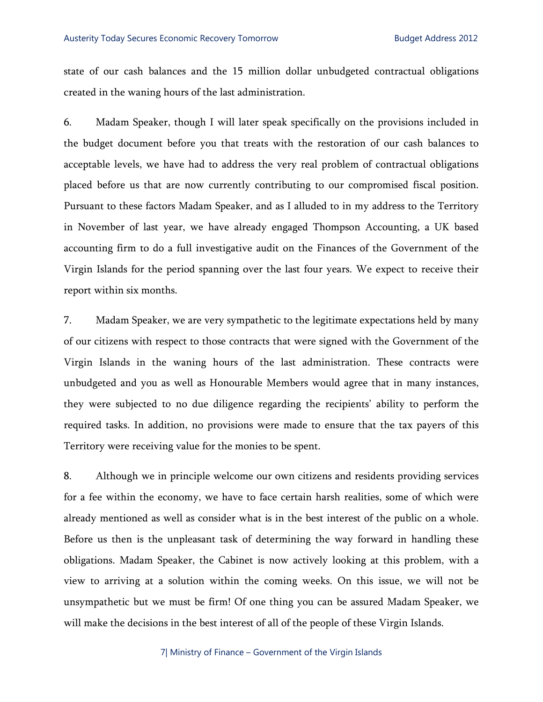state of our cash balances and the 15 million dollar unbudgeted contractual obligations created in the waning hours of the last administration.

6. Madam Speaker, though I will later speak specifically on the provisions included in the budget document before you that treats with the restoration of our cash balances to acceptable levels, we have had to address the very real problem of contractual obligations placed before us that are now currently contributing to our compromised fiscal position. Pursuant to these factors Madam Speaker, and as I alluded to in my address to the Territory in November of last year, we have already engaged Thompson Accounting, a UK based accounting firm to do a full investigative audit on the Finances of the Government of the Virgin Islands for the period spanning over the last four years. We expect to receive their report within six months.

7. Madam Speaker, we are very sympathetic to the legitimate expectations held by many of our citizens with respect to those contracts that were signed with the Government of the Virgin Islands in the waning hours of the last administration. These contracts were unbudgeted and you as well as Honourable Members would agree that in many instances, they were subjected to no due diligence regarding the recipients' ability to perform the required tasks. In addition, no provisions were made to ensure that the tax payers of this Territory were receiving value for the monies to be spent.

8. Although we in principle welcome our own citizens and residents providing services for a fee within the economy, we have to face certain harsh realities, some of which were already mentioned as well as consider what is in the best interest of the public on a whole. Before us then is the unpleasant task of determining the way forward in handling these obligations. Madam Speaker, the Cabinet is now actively looking at this problem, with a view to arriving at a solution within the coming weeks. On this issue, we will not be unsympathetic but we must be firm! Of one thing you can be assured Madam Speaker, we will make the decisions in the best interest of all of the people of these Virgin Islands.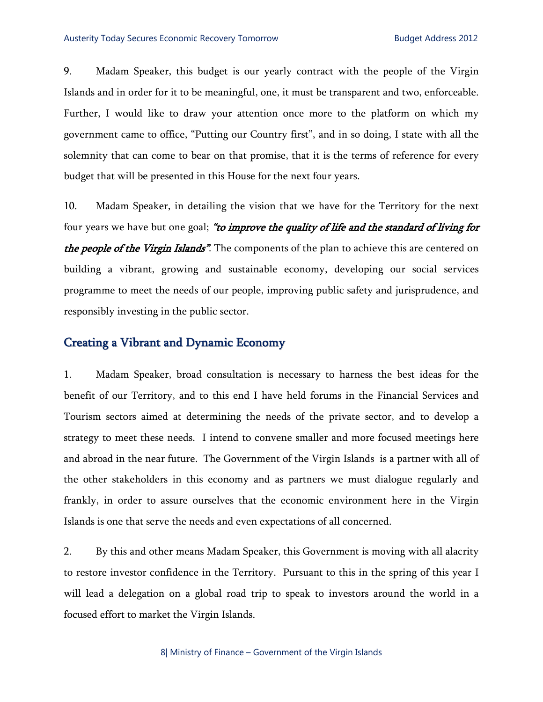9. Madam Speaker, this budget is our yearly contract with the people of the Virgin Islands and in order for it to be meaningful, one, it must be transparent and two, enforceable. Further, I would like to draw your attention once more to the platform on which my government came to office, "Putting our Country first", and in so doing, I state with all the solemnity that can come to bear on that promise, that it is the terms of reference for every budget that will be presented in this House for the next four years.

10. Madam Speaker, in detailing the vision that we have for the Territory for the next four years we have but one goal; "to *improve the quality of life and the standard of living for* the people of the Virgin Islands". The components of the plan to achieve this are centered on building a vibrant, growing and sustainable economy, developing our social services programme to meet the needs of our people, improving public safety and jurisprudence, and responsibly investing in the public sector.

### Creating a Vibrant and Dynamic Economy

1. Madam Speaker, broad consultation is necessary to harness the best ideas for the benefit of our Territory, and to this end I have held forums in the Financial Services and Tourism sectors aimed at determining the needs of the private sector, and to develop a strategy to meet these needs. I intend to convene smaller and more focused meetings here and abroad in the near future. The Government of the Virgin Islands is a partner with all of the other stakeholders in this economy and as partners we must dialogue regularly and frankly, in order to assure ourselves that the economic environment here in the Virgin Islands is one that serve the needs and even expectations of all concerned.

2. By this and other means Madam Speaker, this Government is moving with all alacrity to restore investor confidence in the Territory. Pursuant to this in the spring of this year I will lead a delegation on a global road trip to speak to investors around the world in a focused effort to market the Virgin Islands.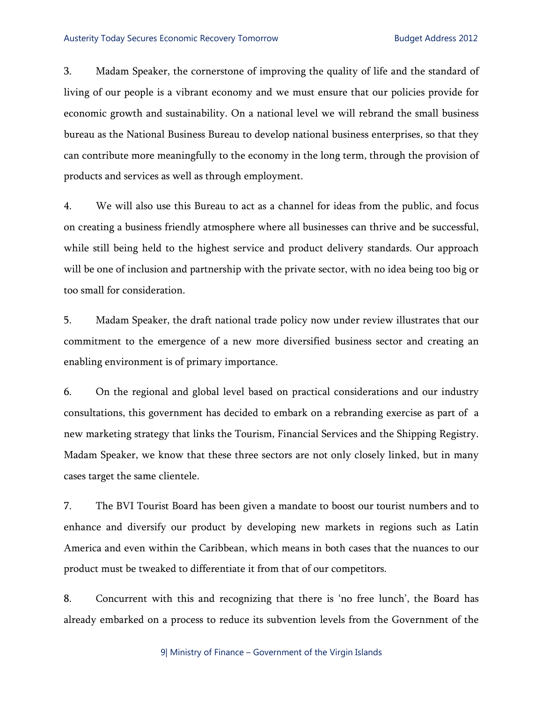3. Madam Speaker, the cornerstone of improving the quality of life and the standard of living of our people is a vibrant economy and we must ensure that our policies provide for economic growth and sustainability. On a national level we will rebrand the small business bureau as the National Business Bureau to develop national business enterprises, so that they can contribute more meaningfully to the economy in the long term, through the provision of products and services as well as through employment.

4. We will also use this Bureau to act as a channel for ideas from the public, and focus on creating a business friendly atmosphere where all businesses can thrive and be successful, while still being held to the highest service and product delivery standards. Our approach will be one of inclusion and partnership with the private sector, with no idea being too big or too small for consideration.

5. Madam Speaker, the draft national trade policy now under review illustrates that our commitment to the emergence of a new more diversified business sector and creating an enabling environment is of primary importance.

6. On the regional and global level based on practical considerations and our industry consultations, this government has decided to embark on a rebranding exercise as part of a new marketing strategy that links the Tourism, Financial Services and the Shipping Registry. Madam Speaker, we know that these three sectors are not only closely linked, but in many cases target the same clientele.

7. The BVI Tourist Board has been given a mandate to boost our tourist numbers and to enhance and diversify our product by developing new markets in regions such as Latin America and even within the Caribbean, which means in both cases that the nuances to our product must be tweaked to differentiate it from that of our competitors.

8. Concurrent with this and recognizing that there is 'no free lunch', the Board has already embarked on a process to reduce its subvention levels from the Government of the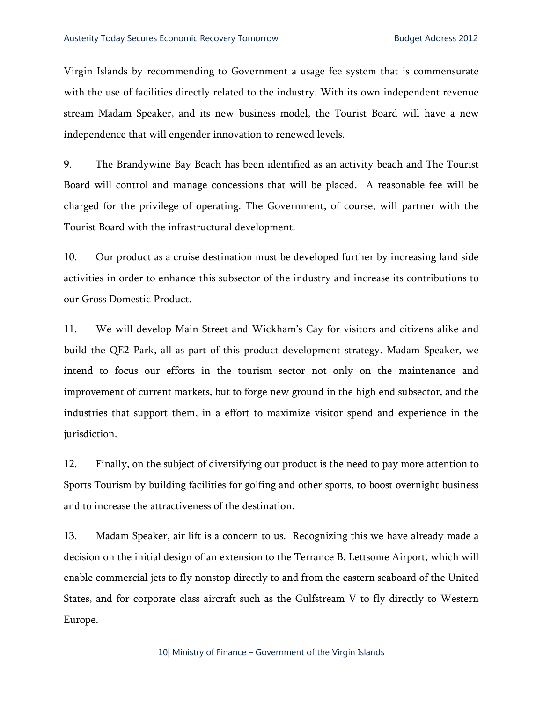Virgin Islands by recommending to Government a usage fee system that is commensurate with the use of facilities directly related to the industry. With its own independent revenue stream Madam Speaker, and its new business model, the Tourist Board will have a new independence that will engender innovation to renewed levels.

9. The Brandywine Bay Beach has been identified as an activity beach and The Tourist Board will control and manage concessions that will be placed. A reasonable fee will be charged for the privilege of operating. The Government, of course, will partner with the Tourist Board with the infrastructural development.

10. Our product as a cruise destination must be developed further by increasing land side activities in order to enhance this subsector of the industry and increase its contributions to our Gross Domestic Product.

11. We will develop Main Street and Wickham's Cay for visitors and citizens alike and build the QE2 Park, all as part of this product development strategy. Madam Speaker, we intend to focus our efforts in the tourism sector not only on the maintenance and improvement of current markets, but to forge new ground in the high end subsector, and the industries that support them, in a effort to maximize visitor spend and experience in the jurisdiction.

12. Finally, on the subject of diversifying our product is the need to pay more attention to Sports Tourism by building facilities for golfing and other sports, to boost overnight business and to increase the attractiveness of the destination.

13. Madam Speaker, air lift is a concern to us. Recognizing this we have already made a decision on the initial design of an extension to the Terrance B. Lettsome Airport, which will enable commercial jets to fly nonstop directly to and from the eastern seaboard of the United States, and for corporate class aircraft such as the Gulfstream V to fly directly to Western Europe.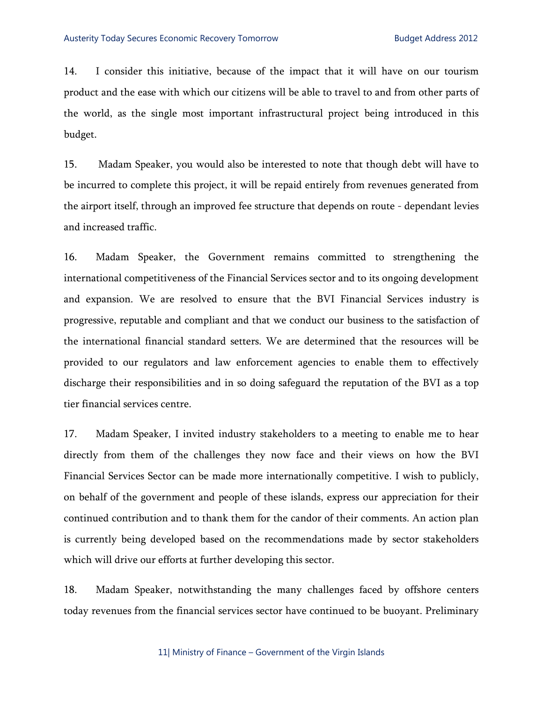14. I consider this initiative, because of the impact that it will have on our tourism product and the ease with which our citizens will be able to travel to and from other parts of the world, as the single most important infrastructural project being introduced in this budget.

15. Madam Speaker, you would also be interested to note that though debt will have to be incurred to complete this project, it will be repaid entirely from revenues generated from the airport itself, through an improved fee structure that depends on route - dependant levies and increased traffic.

16. Madam Speaker, the Government remains committed to strengthening the international competitiveness of the Financial Services sector and to its ongoing development and expansion. We are resolved to ensure that the BVI Financial Services industry is progressive, reputable and compliant and that we conduct our business to the satisfaction of the international financial standard setters. We are determined that the resources will be provided to our regulators and law enforcement agencies to enable them to effectively discharge their responsibilities and in so doing safeguard the reputation of the BVI as a top tier financial services centre.

17. Madam Speaker, I invited industry stakeholders to a meeting to enable me to hear directly from them of the challenges they now face and their views on how the BVI Financial Services Sector can be made more internationally competitive. I wish to publicly, on behalf of the government and people of these islands, express our appreciation for their continued contribution and to thank them for the candor of their comments. An action plan is currently being developed based on the recommendations made by sector stakeholders which will drive our efforts at further developing this sector.

18. Madam Speaker, notwithstanding the many challenges faced by offshore centers today revenues from the financial services sector have continued to be buoyant. Preliminary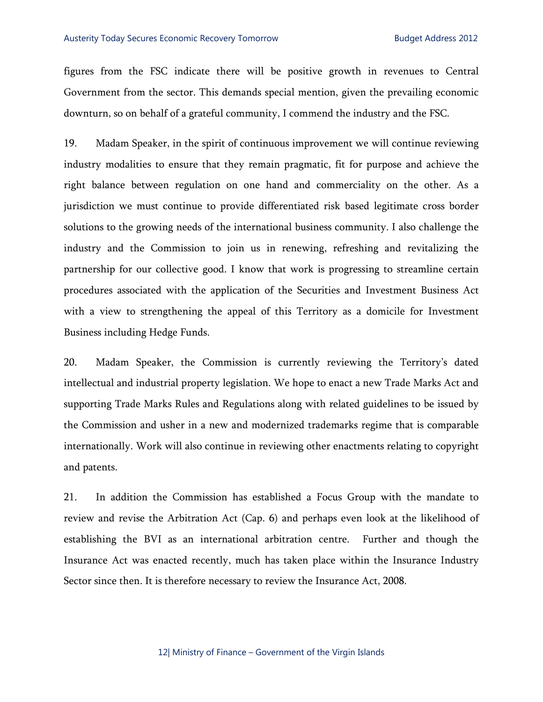figures from the FSC indicate there will be positive growth in revenues to Central Government from the sector. This demands special mention, given the prevailing economic downturn, so on behalf of a grateful community, I commend the industry and the FSC.

19. Madam Speaker, in the spirit of continuous improvement we will continue reviewing industry modalities to ensure that they remain pragmatic, fit for purpose and achieve the right balance between regulation on one hand and commerciality on the other. As a jurisdiction we must continue to provide differentiated risk based legitimate cross border solutions to the growing needs of the international business community. I also challenge the industry and the Commission to join us in renewing, refreshing and revitalizing the partnership for our collective good. I know that work is progressing to streamline certain procedures associated with the application of the Securities and Investment Business Act with a view to strengthening the appeal of this Territory as a domicile for Investment Business including Hedge Funds.

20. Madam Speaker, the Commission is currently reviewing the Territory's dated intellectual and industrial property legislation. We hope to enact a new Trade Marks Act and supporting Trade Marks Rules and Regulations along with related guidelines to be issued by the Commission and usher in a new and modernized trademarks regime that is comparable internationally. Work will also continue in reviewing other enactments relating to copyright and patents.

21. In addition the Commission has established a Focus Group with the mandate to review and revise the Arbitration Act (Cap. 6) and perhaps even look at the likelihood of establishing the BVI as an international arbitration centre. Further and though the Insurance Act was enacted recently, much has taken place within the Insurance Industry Sector since then. It is therefore necessary to review the Insurance Act, 2008.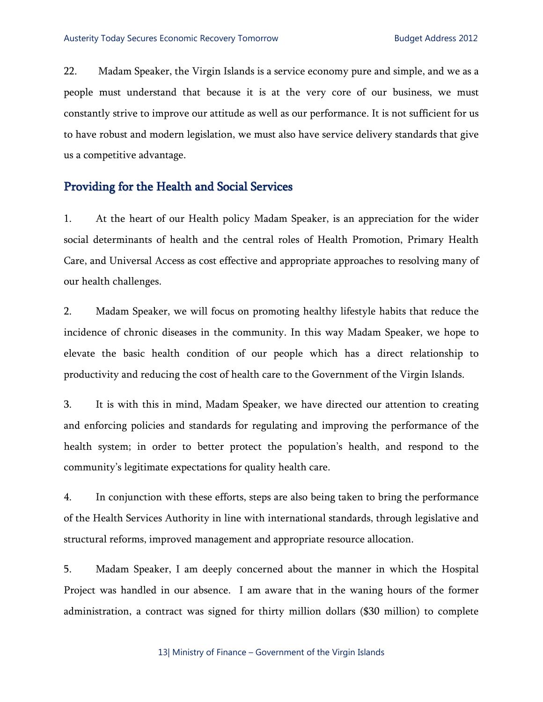22. Madam Speaker, the Virgin Islands is a service economy pure and simple, and we as a people must understand that because it is at the very core of our business, we must constantly strive to improve our attitude as well as our performance. It is not sufficient for us to have robust and modern legislation, we must also have service delivery standards that give us a competitive advantage.

## Providing for the Health and Social Services

1. At the heart of our Health policy Madam Speaker, is an appreciation for the wider social determinants of health and the central roles of Health Promotion, Primary Health Care, and Universal Access as cost effective and appropriate approaches to resolving many of our health challenges.

2. Madam Speaker, we will focus on promoting healthy lifestyle habits that reduce the incidence of chronic diseases in the community. In this way Madam Speaker, we hope to elevate the basic health condition of our people which has a direct relationship to productivity and reducing the cost of health care to the Government of the Virgin Islands.

3. It is with this in mind, Madam Speaker, we have directed our attention to creating and enforcing policies and standards for regulating and improving the performance of the health system; in order to better protect the population's health, and respond to the community's legitimate expectations for quality health care.

4. In conjunction with these efforts, steps are also being taken to bring the performance of the Health Services Authority in line with international standards, through legislative and structural reforms, improved management and appropriate resource allocation.

5. Madam Speaker, I am deeply concerned about the manner in which the Hospital Project was handled in our absence. I am aware that in the waning hours of the former administration, a contract was signed for thirty million dollars (\$30 million) to complete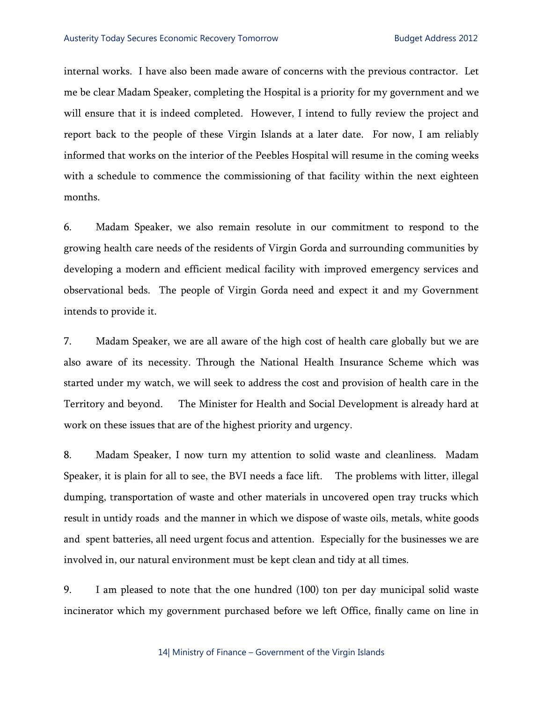internal works. I have also been made aware of concerns with the previous contractor. Let me be clear Madam Speaker, completing the Hospital is a priority for my government and we will ensure that it is indeed completed. However, I intend to fully review the project and report back to the people of these Virgin Islands at a later date. For now, I am reliably informed that works on the interior of the Peebles Hospital will resume in the coming weeks with a schedule to commence the commissioning of that facility within the next eighteen months.

6. Madam Speaker, we also remain resolute in our commitment to respond to the growing health care needs of the residents of Virgin Gorda and surrounding communities by developing a modern and efficient medical facility with improved emergency services and observational beds. The people of Virgin Gorda need and expect it and my Government intends to provide it.

7. Madam Speaker, we are all aware of the high cost of health care globally but we are also aware of its necessity. Through the National Health Insurance Scheme which was started under my watch, we will seek to address the cost and provision of health care in the Territory and beyond. The Minister for Health and Social Development is already hard at work on these issues that are of the highest priority and urgency.

8. Madam Speaker, I now turn my attention to solid waste and cleanliness. Madam Speaker, it is plain for all to see, the BVI needs a face lift. The problems with litter, illegal dumping, transportation of waste and other materials in uncovered open tray trucks which result in untidy roads and the manner in which we dispose of waste oils, metals, white goods and spent batteries, all need urgent focus and attention. Especially for the businesses we are involved in, our natural environment must be kept clean and tidy at all times.

9. I am pleased to note that the one hundred (100) ton per day municipal solid waste incinerator which my government purchased before we left Office, finally came on line in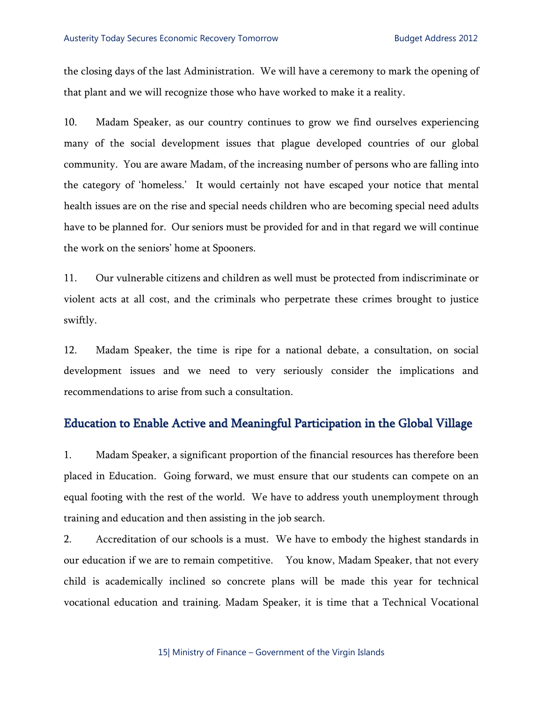the closing days of the last Administration. We will have a ceremony to mark the opening of that plant and we will recognize those who have worked to make it a reality.

10. Madam Speaker, as our country continues to grow we find ourselves experiencing many of the social development issues that plague developed countries of our global community. You are aware Madam, of the increasing number of persons who are falling into the category of 'homeless.' It would certainly not have escaped your notice that mental health issues are on the rise and special needs children who are becoming special need adults have to be planned for. Our seniors must be provided for and in that regard we will continue the work on the seniors' home at Spooners.

11. Our vulnerable citizens and children as well must be protected from indiscriminate or violent acts at all cost, and the criminals who perpetrate these crimes brought to justice swiftly.

12. Madam Speaker, the time is ripe for a national debate, a consultation, on social development issues and we need to very seriously consider the implications and recommendations to arise from such a consultation.

### Education to Enable Active and Meaningful Participation in the Global Village

1. Madam Speaker, a significant proportion of the financial resources has therefore been placed in Education. Going forward, we must ensure that our students can compete on an equal footing with the rest of the world. We have to address youth unemployment through training and education and then assisting in the job search.

2. Accreditation of our schools is a must. We have to embody the highest standards in our education if we are to remain competitive. You know, Madam Speaker, that not every child is academically inclined so concrete plans will be made this year for technical vocational education and training. Madam Speaker, it is time that a Technical Vocational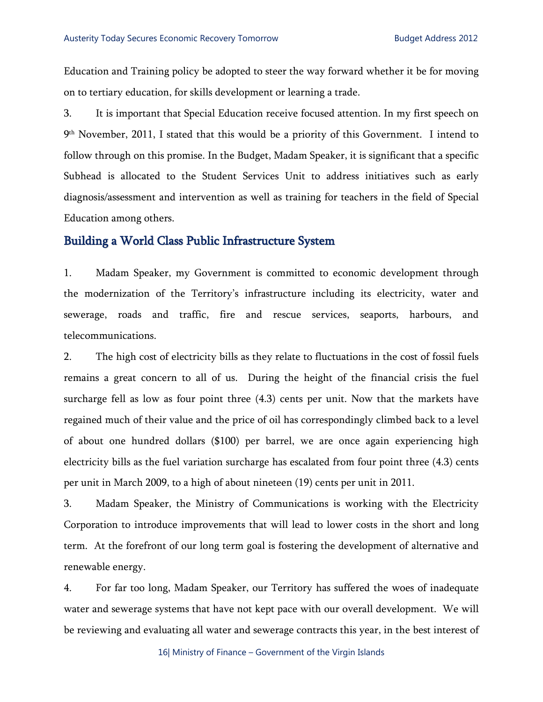Education and Training policy be adopted to steer the way forward whether it be for moving on to tertiary education, for skills development or learning a trade.

3. It is important that Special Education receive focused attention. In my first speech on 9th November, 2011, I stated that this would be a priority of this Government. I intend to follow through on this promise. In the Budget, Madam Speaker, it is significant that a specific Subhead is allocated to the Student Services Unit to address initiatives such as early diagnosis/assessment and intervention as well as training for teachers in the field of Special Education among others.

### Building a World Class Public Infrastructure System

1. Madam Speaker, my Government is committed to economic development through the modernization of the Territory's infrastructure including its electricity, water and sewerage, roads and traffic, fire and rescue services, seaports, harbours, and telecommunications.

2. The high cost of electricity bills as they relate to fluctuations in the cost of fossil fuels remains a great concern to all of us. During the height of the financial crisis the fuel surcharge fell as low as four point three (4.3) cents per unit. Now that the markets have regained much of their value and the price of oil has correspondingly climbed back to a level of about one hundred dollars (\$100) per barrel, we are once again experiencing high electricity bills as the fuel variation surcharge has escalated from four point three (4.3) cents per unit in March 2009, to a high of about nineteen (19) cents per unit in 2011.

3. Madam Speaker, the Ministry of Communications is working with the Electricity Corporation to introduce improvements that will lead to lower costs in the short and long term. At the forefront of our long term goal is fostering the development of alternative and renewable energy.

4. For far too long, Madam Speaker, our Territory has suffered the woes of inadequate water and sewerage systems that have not kept pace with our overall development. We will be reviewing and evaluating all water and sewerage contracts this year, in the best interest of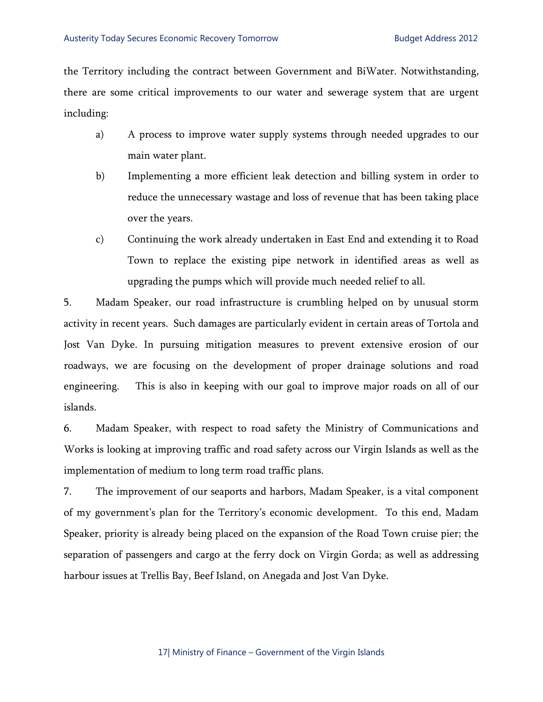the Territory including the contract between Government and BiWater. Notwithstanding, there are some critical improvements to our water and sewerage system that are urgent including:

- a) A process to improve water supply systems through needed upgrades to our main water plant.
- b) Implementing a more efficient leak detection and billing system in order to reduce the unnecessary wastage and loss of revenue that has been taking place over the years.
- c) Continuing the work already undertaken in East End and extending it to Road Town to replace the existing pipe network in identified areas as well as upgrading the pumps which will provide much needed relief to all.

5. Madam Speaker, our road infrastructure is crumbling helped on by unusual storm activity in recent years. Such damages are particularly evident in certain areas of Tortola and Jost Van Dyke. In pursuing mitigation measures to prevent extensive erosion of our roadways, we are focusing on the development of proper drainage solutions and road engineering. This is also in keeping with our goal to improve major roads on all of our islands.

6. Madam Speaker, with respect to road safety the Ministry of Communications and Works is looking at improving traffic and road safety across our Virgin Islands as well as the implementation of medium to long term road traffic plans.

7. The improvement of our seaports and harbors, Madam Speaker, is a vital component of my government's plan for the Territory's economic development. To this end, Madam Speaker, priority is already being placed on the expansion of the Road Town cruise pier; the separation of passengers and cargo at the ferry dock on Virgin Gorda; as well as addressing harbour issues at Trellis Bay, Beef Island, on Anegada and Jost Van Dyke.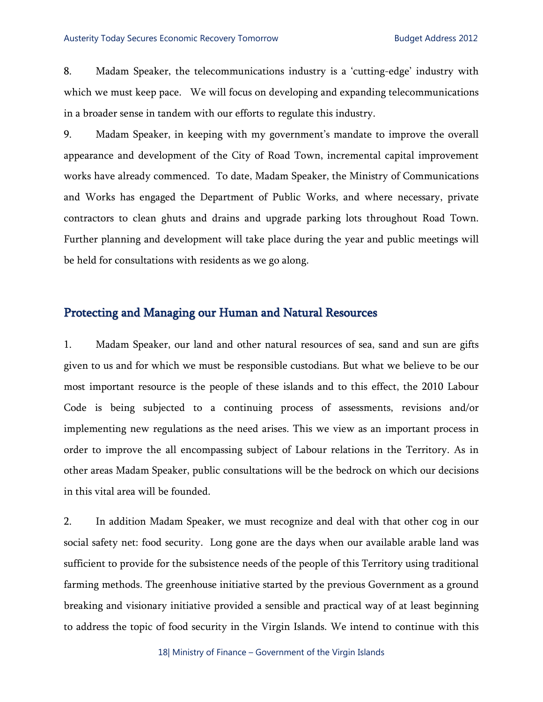8. Madam Speaker, the telecommunications industry is a 'cutting-edge' industry with which we must keep pace. We will focus on developing and expanding telecommunications in a broader sense in tandem with our efforts to regulate this industry.

9. Madam Speaker, in keeping with my government's mandate to improve the overall appearance and development of the City of Road Town, incremental capital improvement works have already commenced. To date, Madam Speaker, the Ministry of Communications and Works has engaged the Department of Public Works, and where necessary, private contractors to clean ghuts and drains and upgrade parking lots throughout Road Town. Further planning and development will take place during the year and public meetings will be held for consultations with residents as we go along.

## Protecting and Managing our Human and Natural Resources

1. Madam Speaker, our land and other natural resources of sea, sand and sun are gifts given to us and for which we must be responsible custodians. But what we believe to be our most important resource is the people of these islands and to this effect, the 2010 Labour Code is being subjected to a continuing process of assessments, revisions and/or implementing new regulations as the need arises. This we view as an important process in order to improve the all encompassing subject of Labour relations in the Territory. As in other areas Madam Speaker, public consultations will be the bedrock on which our decisions in this vital area will be founded.

2. In addition Madam Speaker, we must recognize and deal with that other cog in our social safety net: food security. Long gone are the days when our available arable land was sufficient to provide for the subsistence needs of the people of this Territory using traditional farming methods. The greenhouse initiative started by the previous Government as a ground breaking and visionary initiative provided a sensible and practical way of at least beginning to address the topic of food security in the Virgin Islands. We intend to continue with this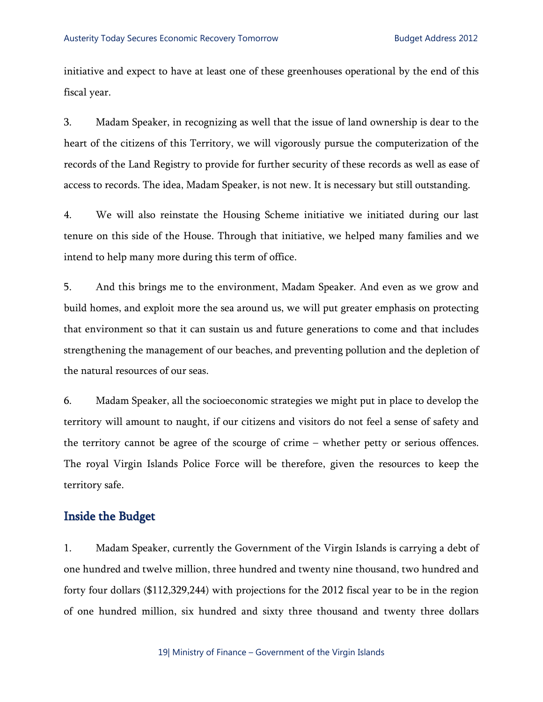initiative and expect to have at least one of these greenhouses operational by the end of this fiscal year.

3. Madam Speaker, in recognizing as well that the issue of land ownership is dear to the heart of the citizens of this Territory, we will vigorously pursue the computerization of the records of the Land Registry to provide for further security of these records as well as ease of access to records. The idea, Madam Speaker, is not new. It is necessary but still outstanding.

4. We will also reinstate the Housing Scheme initiative we initiated during our last tenure on this side of the House. Through that initiative, we helped many families and we intend to help many more during this term of office.

5. And this brings me to the environment, Madam Speaker. And even as we grow and build homes, and exploit more the sea around us, we will put greater emphasis on protecting that environment so that it can sustain us and future generations to come and that includes strengthening the management of our beaches, and preventing pollution and the depletion of the natural resources of our seas.

6. Madam Speaker, all the socioeconomic strategies we might put in place to develop the territory will amount to naught, if our citizens and visitors do not feel a sense of safety and the territory cannot be agree of the scourge of crime – whether petty or serious offences. The royal Virgin Islands Police Force will be therefore, given the resources to keep the territory safe.

## Inside the Budget

1. Madam Speaker, currently the Government of the Virgin Islands is carrying a debt of one hundred and twelve million, three hundred and twenty nine thousand, two hundred and forty four dollars (\$112,329,244) with projections for the 2012 fiscal year to be in the region of one hundred million, six hundred and sixty three thousand and twenty three dollars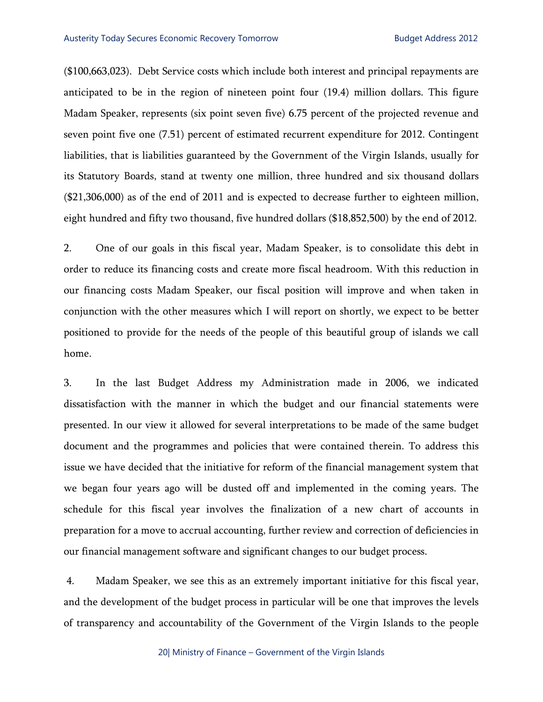(\$100,663,023). Debt Service costs which include both interest and principal repayments are anticipated to be in the region of nineteen point four (19.4) million dollars. This figure Madam Speaker, represents (six point seven five) 6.75 percent of the projected revenue and seven point five one (7.51) percent of estimated recurrent expenditure for 2012. Contingent liabilities, that is liabilities guaranteed by the Government of the Virgin Islands, usually for its Statutory Boards, stand at twenty one million, three hundred and six thousand dollars (\$21,306,000) as of the end of 2011 and is expected to decrease further to eighteen million, eight hundred and fifty two thousand, five hundred dollars (\$18,852,500) by the end of 2012.

2. One of our goals in this fiscal year, Madam Speaker, is to consolidate this debt in order to reduce its financing costs and create more fiscal headroom. With this reduction in our financing costs Madam Speaker, our fiscal position will improve and when taken in conjunction with the other measures which I will report on shortly, we expect to be better positioned to provide for the needs of the people of this beautiful group of islands we call home.

3. In the last Budget Address my Administration made in 2006, we indicated dissatisfaction with the manner in which the budget and our financial statements were presented. In our view it allowed for several interpretations to be made of the same budget document and the programmes and policies that were contained therein. To address this issue we have decided that the initiative for reform of the financial management system that we began four years ago will be dusted off and implemented in the coming years. The schedule for this fiscal year involves the finalization of a new chart of accounts in preparation for a move to accrual accounting, further review and correction of deficiencies in our financial management software and significant changes to our budget process.

 4. Madam Speaker, we see this as an extremely important initiative for this fiscal year, and the development of the budget process in particular will be one that improves the levels of transparency and accountability of the Government of the Virgin Islands to the people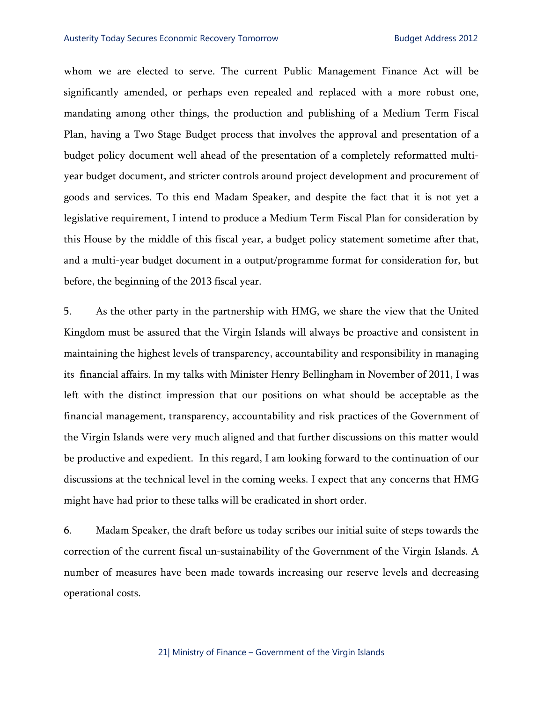#### Austerity Today Secures Economic Recovery Tomorrow **Budget Address 2012**

whom we are elected to serve. The current Public Management Finance Act will be significantly amended, or perhaps even repealed and replaced with a more robust one, mandating among other things, the production and publishing of a Medium Term Fiscal Plan, having a Two Stage Budget process that involves the approval and presentation of a budget policy document well ahead of the presentation of a completely reformatted multiyear budget document, and stricter controls around project development and procurement of goods and services. To this end Madam Speaker, and despite the fact that it is not yet a legislative requirement, I intend to produce a Medium Term Fiscal Plan for consideration by this House by the middle of this fiscal year, a budget policy statement sometime after that, and a multi-year budget document in a output/programme format for consideration for, but before, the beginning of the 2013 fiscal year.

5. As the other party in the partnership with HMG, we share the view that the United Kingdom must be assured that the Virgin Islands will always be proactive and consistent in maintaining the highest levels of transparency, accountability and responsibility in managing its financial affairs. In my talks with Minister Henry Bellingham in November of 2011, I was left with the distinct impression that our positions on what should be acceptable as the financial management, transparency, accountability and risk practices of the Government of the Virgin Islands were very much aligned and that further discussions on this matter would be productive and expedient. In this regard, I am looking forward to the continuation of our discussions at the technical level in the coming weeks. I expect that any concerns that HMG might have had prior to these talks will be eradicated in short order.

6. Madam Speaker, the draft before us today scribes our initial suite of steps towards the correction of the current fiscal un-sustainability of the Government of the Virgin Islands. A number of measures have been made towards increasing our reserve levels and decreasing operational costs.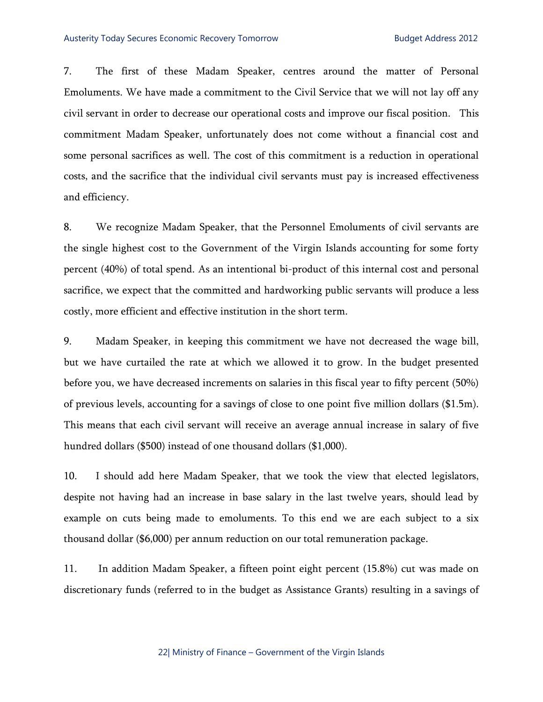7. The first of these Madam Speaker, centres around the matter of Personal Emoluments. We have made a commitment to the Civil Service that we will not lay off any civil servant in order to decrease our operational costs and improve our fiscal position. This commitment Madam Speaker, unfortunately does not come without a financial cost and some personal sacrifices as well. The cost of this commitment is a reduction in operational costs, and the sacrifice that the individual civil servants must pay is increased effectiveness and efficiency.

8. We recognize Madam Speaker, that the Personnel Emoluments of civil servants are the single highest cost to the Government of the Virgin Islands accounting for some forty percent (40%) of total spend. As an intentional bi-product of this internal cost and personal sacrifice, we expect that the committed and hardworking public servants will produce a less costly, more efficient and effective institution in the short term.

9. Madam Speaker, in keeping this commitment we have not decreased the wage bill, but we have curtailed the rate at which we allowed it to grow. In the budget presented before you, we have decreased increments on salaries in this fiscal year to fifty percent (50%) of previous levels, accounting for a savings of close to one point five million dollars (\$1.5m). This means that each civil servant will receive an average annual increase in salary of five hundred dollars (\$500) instead of one thousand dollars (\$1,000).

10. I should add here Madam Speaker, that we took the view that elected legislators, despite not having had an increase in base salary in the last twelve years, should lead by example on cuts being made to emoluments. To this end we are each subject to a six thousand dollar (\$6,000) per annum reduction on our total remuneration package.

11. In addition Madam Speaker, a fifteen point eight percent (15.8%) cut was made on discretionary funds (referred to in the budget as Assistance Grants) resulting in a savings of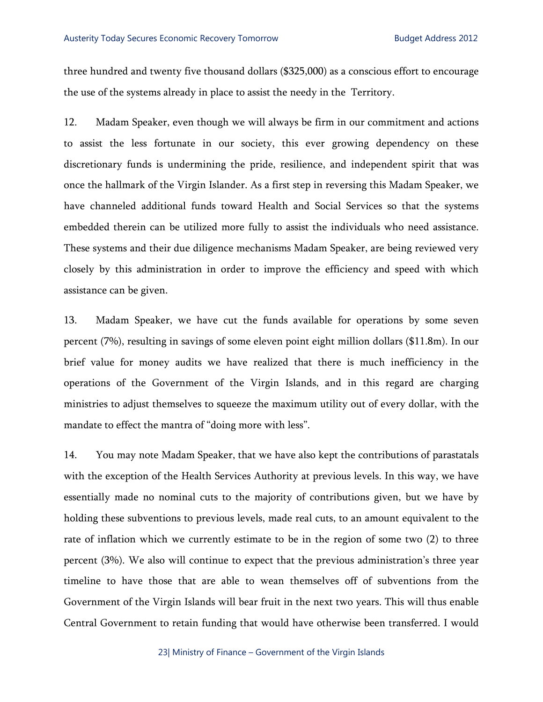three hundred and twenty five thousand dollars (\$325,000) as a conscious effort to encourage the use of the systems already in place to assist the needy in the Territory.

12. Madam Speaker, even though we will always be firm in our commitment and actions to assist the less fortunate in our society, this ever growing dependency on these discretionary funds is undermining the pride, resilience, and independent spirit that was once the hallmark of the Virgin Islander. As a first step in reversing this Madam Speaker, we have channeled additional funds toward Health and Social Services so that the systems embedded therein can be utilized more fully to assist the individuals who need assistance. These systems and their due diligence mechanisms Madam Speaker, are being reviewed very closely by this administration in order to improve the efficiency and speed with which assistance can be given.

13. Madam Speaker, we have cut the funds available for operations by some seven percent (7%), resulting in savings of some eleven point eight million dollars (\$11.8m). In our brief value for money audits we have realized that there is much inefficiency in the operations of the Government of the Virgin Islands, and in this regard are charging ministries to adjust themselves to squeeze the maximum utility out of every dollar, with the mandate to effect the mantra of "doing more with less".

14. You may note Madam Speaker, that we have also kept the contributions of parastatals with the exception of the Health Services Authority at previous levels. In this way, we have essentially made no nominal cuts to the majority of contributions given, but we have by holding these subventions to previous levels, made real cuts, to an amount equivalent to the rate of inflation which we currently estimate to be in the region of some two (2) to three percent (3%). We also will continue to expect that the previous administration's three year timeline to have those that are able to wean themselves off of subventions from the Government of the Virgin Islands will bear fruit in the next two years. This will thus enable Central Government to retain funding that would have otherwise been transferred. I would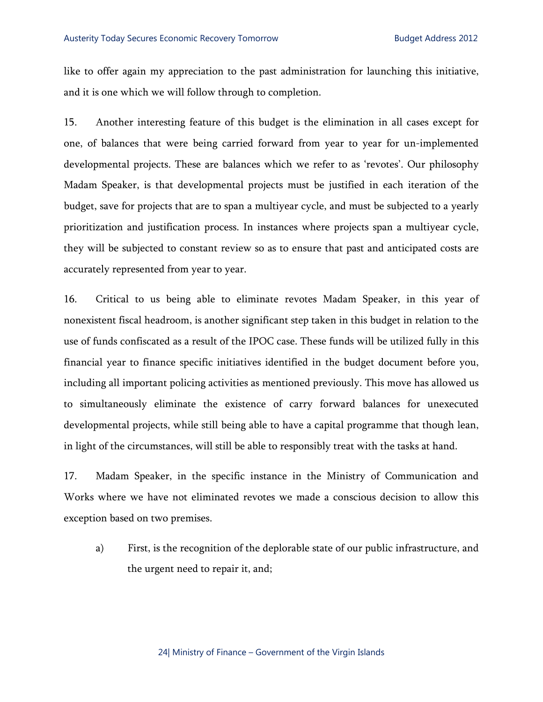like to offer again my appreciation to the past administration for launching this initiative, and it is one which we will follow through to completion.

15. Another interesting feature of this budget is the elimination in all cases except for one, of balances that were being carried forward from year to year for un-implemented developmental projects. These are balances which we refer to as 'revotes'. Our philosophy Madam Speaker, is that developmental projects must be justified in each iteration of the budget, save for projects that are to span a multiyear cycle, and must be subjected to a yearly prioritization and justification process. In instances where projects span a multiyear cycle, they will be subjected to constant review so as to ensure that past and anticipated costs are accurately represented from year to year.

16. Critical to us being able to eliminate revotes Madam Speaker, in this year of nonexistent fiscal headroom, is another significant step taken in this budget in relation to the use of funds confiscated as a result of the IPOC case. These funds will be utilized fully in this financial year to finance specific initiatives identified in the budget document before you, including all important policing activities as mentioned previously. This move has allowed us to simultaneously eliminate the existence of carry forward balances for unexecuted developmental projects, while still being able to have a capital programme that though lean, in light of the circumstances, will still be able to responsibly treat with the tasks at hand.

17. Madam Speaker, in the specific instance in the Ministry of Communication and Works where we have not eliminated revotes we made a conscious decision to allow this exception based on two premises.

a) First, is the recognition of the deplorable state of our public infrastructure, and the urgent need to repair it, and;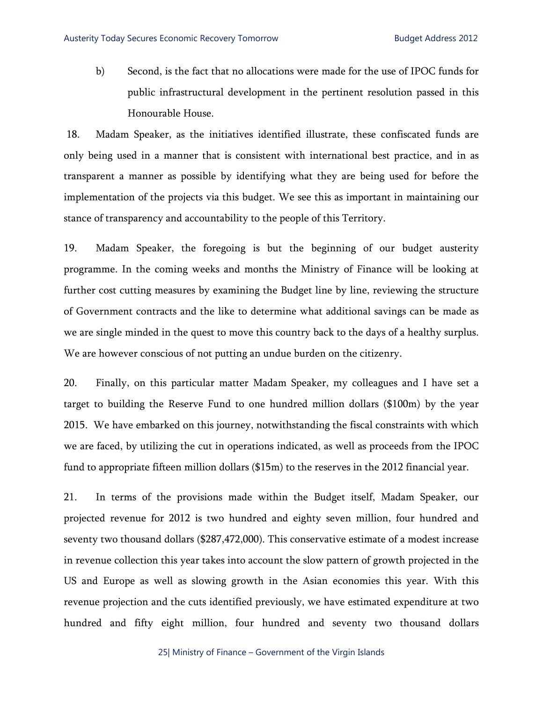b) Second, is the fact that no allocations were made for the use of IPOC funds for public infrastructural development in the pertinent resolution passed in this Honourable House.

 18. Madam Speaker, as the initiatives identified illustrate, these confiscated funds are only being used in a manner that is consistent with international best practice, and in as transparent a manner as possible by identifying what they are being used for before the implementation of the projects via this budget. We see this as important in maintaining our stance of transparency and accountability to the people of this Territory.

19. Madam Speaker, the foregoing is but the beginning of our budget austerity programme. In the coming weeks and months the Ministry of Finance will be looking at further cost cutting measures by examining the Budget line by line, reviewing the structure of Government contracts and the like to determine what additional savings can be made as we are single minded in the quest to move this country back to the days of a healthy surplus. We are however conscious of not putting an undue burden on the citizenry.

20. Finally, on this particular matter Madam Speaker, my colleagues and I have set a target to building the Reserve Fund to one hundred million dollars (\$100m) by the year 2015. We have embarked on this journey, notwithstanding the fiscal constraints with which we are faced, by utilizing the cut in operations indicated, as well as proceeds from the IPOC fund to appropriate fifteen million dollars (\$15m) to the reserves in the 2012 financial year.

21. In terms of the provisions made within the Budget itself, Madam Speaker, our projected revenue for 2012 is two hundred and eighty seven million, four hundred and seventy two thousand dollars (\$287,472,000). This conservative estimate of a modest increase in revenue collection this year takes into account the slow pattern of growth projected in the US and Europe as well as slowing growth in the Asian economies this year. With this revenue projection and the cuts identified previously, we have estimated expenditure at two hundred and fifty eight million, four hundred and seventy two thousand dollars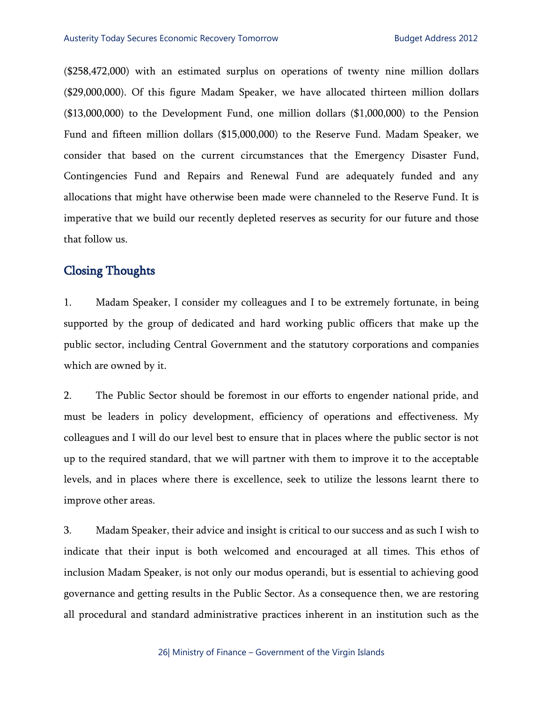(\$258,472,000) with an estimated surplus on operations of twenty nine million dollars (\$29,000,000). Of this figure Madam Speaker, we have allocated thirteen million dollars (\$13,000,000) to the Development Fund, one million dollars (\$1,000,000) to the Pension Fund and fifteen million dollars (\$15,000,000) to the Reserve Fund. Madam Speaker, we consider that based on the current circumstances that the Emergency Disaster Fund, Contingencies Fund and Repairs and Renewal Fund are adequately funded and any allocations that might have otherwise been made were channeled to the Reserve Fund. It is imperative that we build our recently depleted reserves as security for our future and those that follow us.

## Closing Thoughts

1. Madam Speaker, I consider my colleagues and I to be extremely fortunate, in being supported by the group of dedicated and hard working public officers that make up the public sector, including Central Government and the statutory corporations and companies which are owned by it.

2. The Public Sector should be foremost in our efforts to engender national pride, and must be leaders in policy development, efficiency of operations and effectiveness. My colleagues and I will do our level best to ensure that in places where the public sector is not up to the required standard, that we will partner with them to improve it to the acceptable levels, and in places where there is excellence, seek to utilize the lessons learnt there to improve other areas.

3. Madam Speaker, their advice and insight is critical to our success and as such I wish to indicate that their input is both welcomed and encouraged at all times. This ethos of inclusion Madam Speaker, is not only our modus operandi, but is essential to achieving good governance and getting results in the Public Sector. As a consequence then, we are restoring all procedural and standard administrative practices inherent in an institution such as the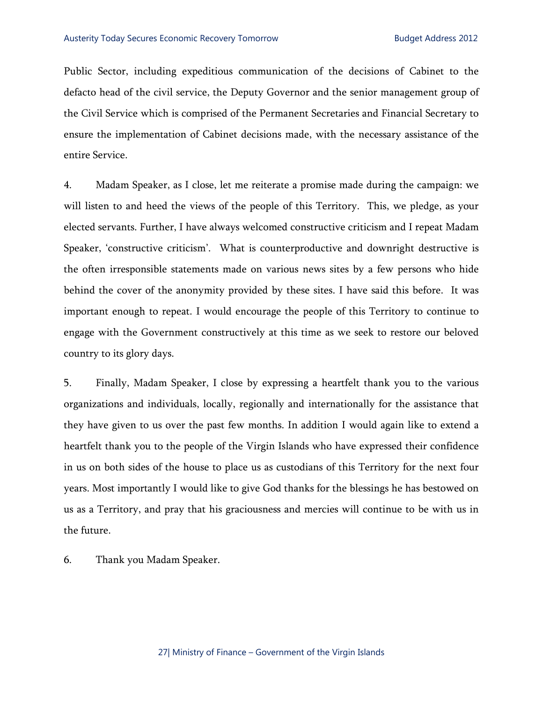Public Sector, including expeditious communication of the decisions of Cabinet to the defacto head of the civil service, the Deputy Governor and the senior management group of the Civil Service which is comprised of the Permanent Secretaries and Financial Secretary to ensure the implementation of Cabinet decisions made, with the necessary assistance of the entire Service.

4. Madam Speaker, as I close, let me reiterate a promise made during the campaign: we will listen to and heed the views of the people of this Territory. This, we pledge, as your elected servants. Further, I have always welcomed constructive criticism and I repeat Madam Speaker, 'constructive criticism'. What is counterproductive and downright destructive is the often irresponsible statements made on various news sites by a few persons who hide behind the cover of the anonymity provided by these sites. I have said this before. It was important enough to repeat. I would encourage the people of this Territory to continue to engage with the Government constructively at this time as we seek to restore our beloved country to its glory days.

5. Finally, Madam Speaker, I close by expressing a heartfelt thank you to the various organizations and individuals, locally, regionally and internationally for the assistance that they have given to us over the past few months. In addition I would again like to extend a heartfelt thank you to the people of the Virgin Islands who have expressed their confidence in us on both sides of the house to place us as custodians of this Territory for the next four years. Most importantly I would like to give God thanks for the blessings he has bestowed on us as a Territory, and pray that his graciousness and mercies will continue to be with us in the future.

6. Thank you Madam Speaker.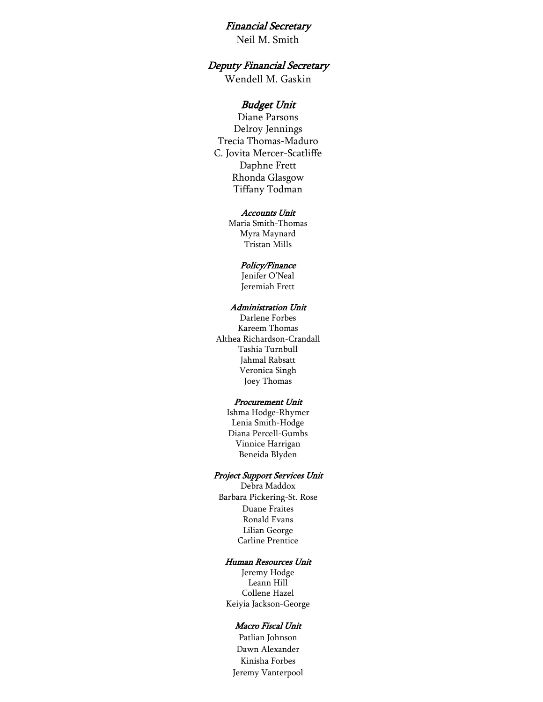#### Financial Secretary

Neil M. Smith

## Deputy Financial Secretary

Wendell M. Gaskin

#### Budget Unit

Diane Parsons Delroy Jennings Trecia Thomas-Maduro C. Jovita Mercer-Scatliffe Daphne Frett Rhonda Glasgow Tiffany Todman

#### Accounts Unit

Maria Smith-Thomas Myra Maynard Tristan Mills

#### Policy/Finance

Jenifer O'Neal Jeremiah Frett

#### Administration Unit

Darlene Forbes Kareem Thomas Althea Richardson-Crandall Tashia Turnbull Jahmal Rabsatt Veronica Singh Joey Thomas

#### Procurement Unit

Ishma Hodge-Rhymer Lenia Smith-Hodge Diana Percell-Gumbs Vinnice Harrigan Beneida Blyden

#### Project Support Services Unit

Debra Maddox Barbara Pickering-St. Rose Duane Fraites Ronald Evans Lilian George Carline Prentice

#### Human Resources Unit

Jeremy Hodge Leann Hill Collene Hazel Keiyia Jackson-George

#### Macro Fiscal Unit

Dawn Alexander Patlian Johnson Kinisha Forbes Jeremy Vanterpool